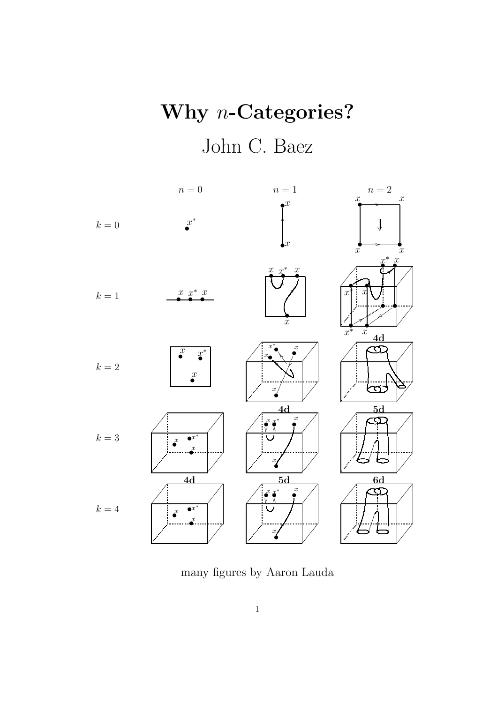# Why *n*-Categories? John C. Baez



many figures by Aaron Lauda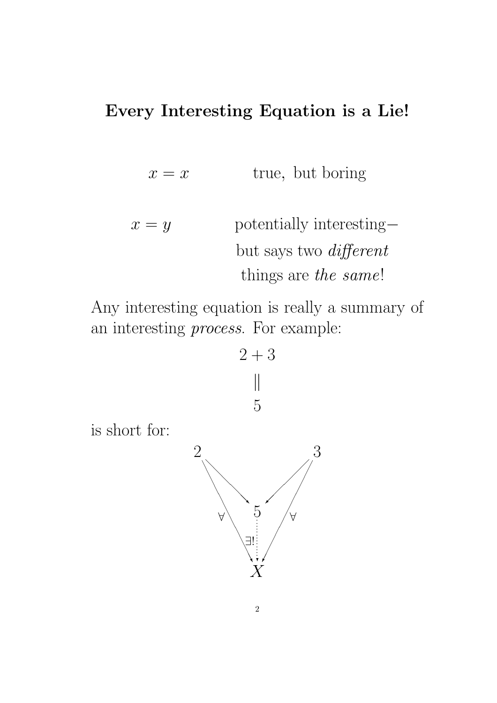#### Every Interesting Equation is a Lie!

- $x = x$  true, but boring
- $x = y$  potentially interesting– but says two different things are the same!

Any interesting equation is really a summary of an interesting process. For example:



is short for:

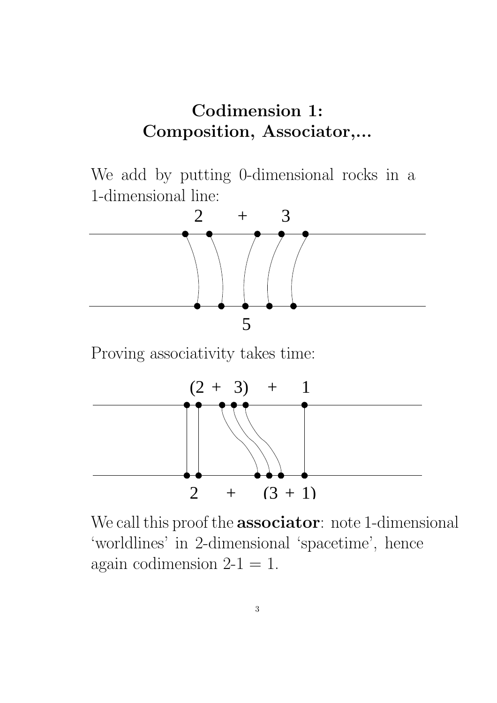### Codimension 1: Composition, Associator,...

We add by putting 0-dimensional rocks in a 1-dimensional line:



Proving associativity takes time:



We call this proof the **associator**: note 1-dimensional 'worldlines' in 2-dimensional 'spacetime', hence again codimension  $2-1 = 1$ .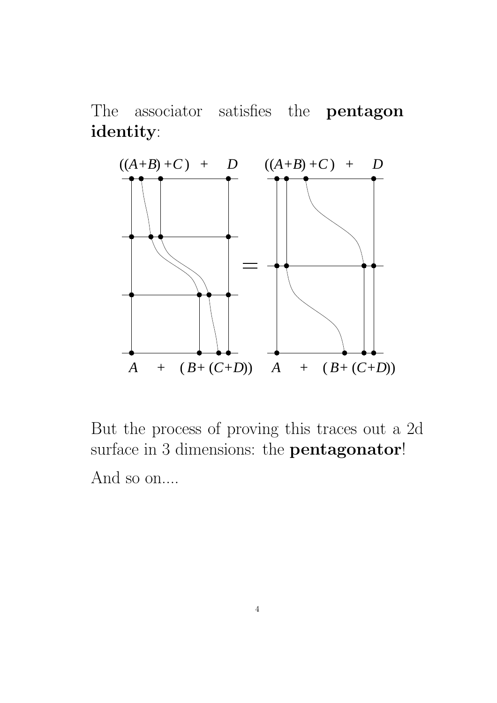The associator satisfies the **pentagon** identity:



But the process of proving this traces out a 2d surface in 3 dimensions: the **pentagonator!** And so on....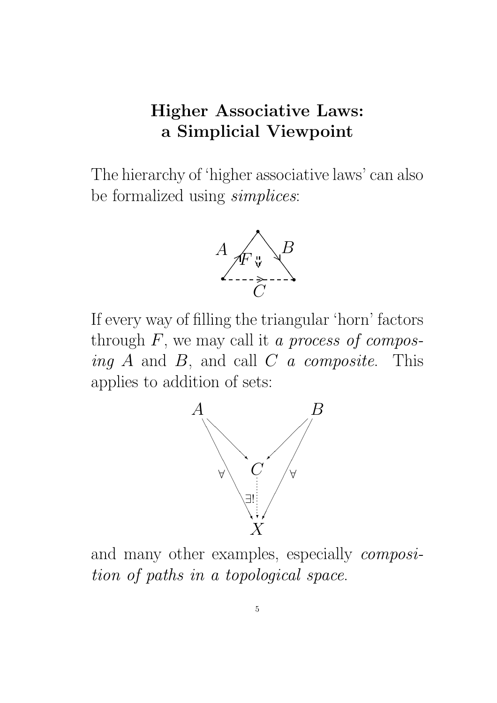### Higher Associative Laws: a Simplicial Viewpoint

The hierarchy of 'higher associative laws' can also be formalized using *simplices*:



If every way of filling the triangular 'horn' factors through  $F$ , we may call it a process of composing  $A$  and  $B$ , and call  $C$  a composite. This applies to addition of sets:



and many other examples, especially composition of paths in a topological space.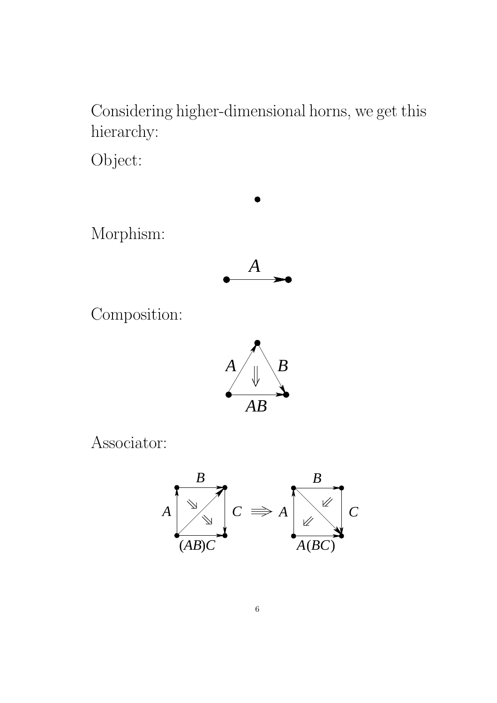Considering higher-dimensional horns, we get this hierarchy:

Object:



Associator:

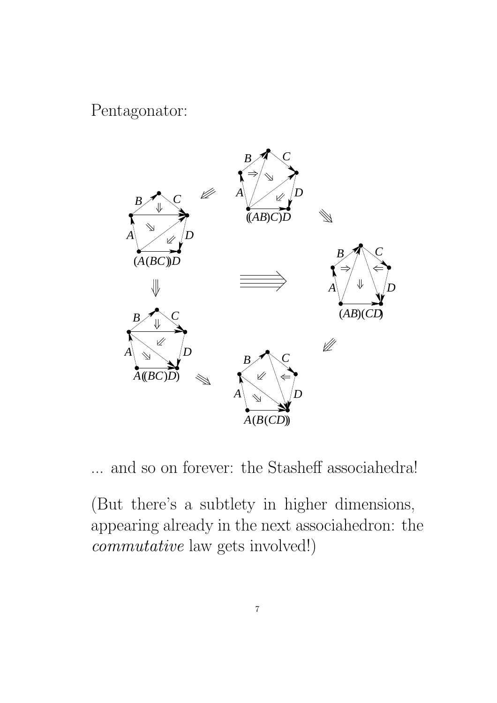#### Pentagonator:



... and so on forever: the Stasheff associahedra!

(But there's a subtlety in higher dimensions, appearing already in the next associahedron: the *commutative* law gets involved!)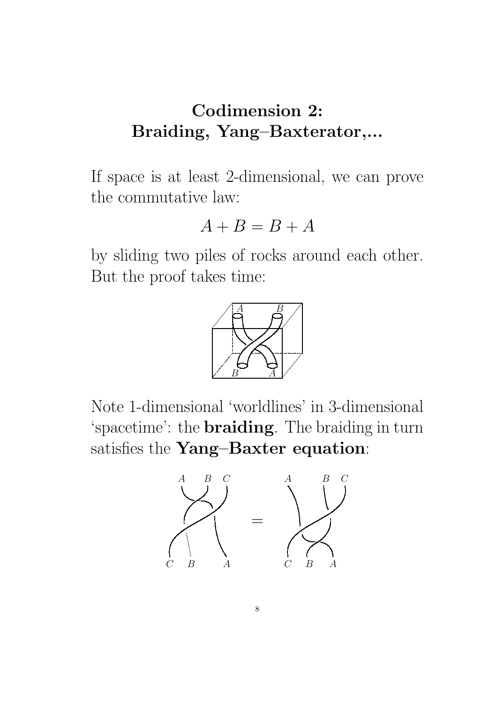### Codimension 2: Braiding, Yang–Baxterator,...

If space is at least 2-dimensional, we can prove the commutative law:

$$
A+B=B+A
$$

by sliding two piles of rocks around each other. But the proof takes time:



Note 1-dimensional 'worldlines' in 3-dimensional 'spacetime': the **braiding**. The braiding in turn satisfies the Yang-Baxter equation:

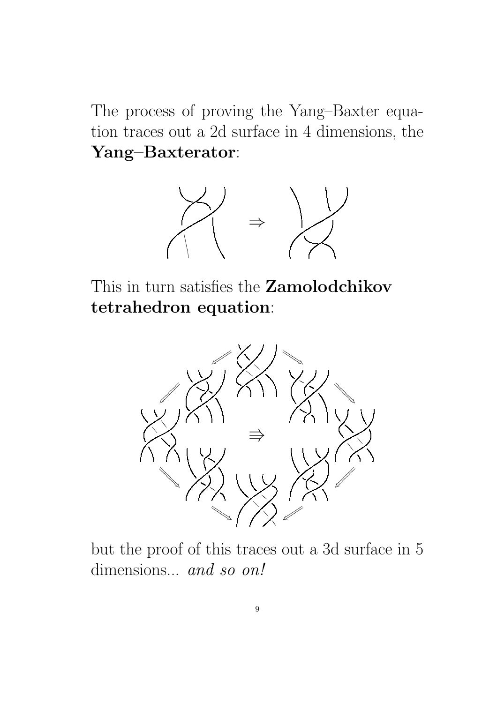The process of proving the Yang–Baxter equation traces out a 2d surface in 4 dimensions, the Yang–Baxterator:



This in turn satisfies the **Zamolodchikov** tetrahedron equation:



but the proof of this traces out a 3d surface in 5 dimensions... and so on!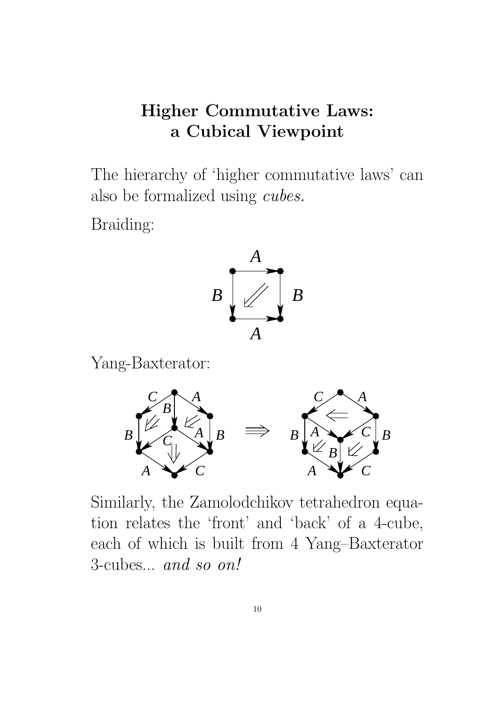### **Higher Commutative Laws:** a Cubical Viewpoint

The hierarchy of 'higher commutative laws' can also be formalized using *cubes*.

Braiding:



Yang-Baxterator:



Similarly, the Zamolodchikov tetrahedron equation relates the 'front' and 'back' of a 4-cube, each of which is built from 4 Yang-Baxterator 3-cubes... and so on!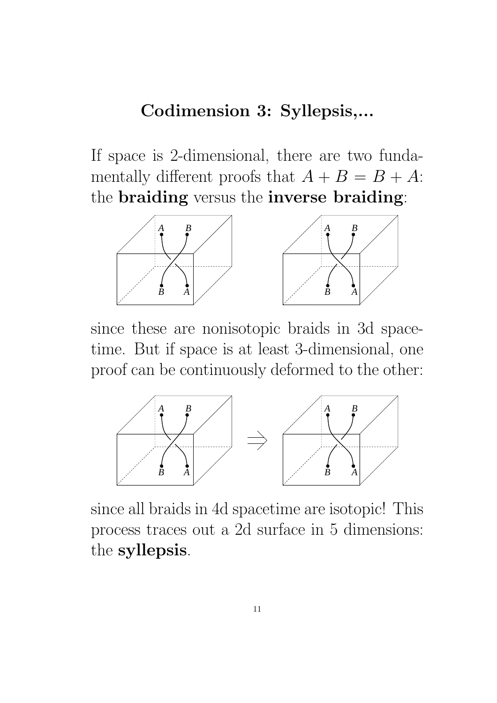### Codimension 3: Syllepsis,...

If space is 2-dimensional, there are two fundamentally different proofs that  $A + B = B + A$ : the braiding versus the inverse braiding:



since these are nonisotopic braids in 3d spacetime. But if space is at least 3-dimensional, one proof can be continuously deformed to the other:



since all braids in 4d spacetime are isotopic! This process traces out a 2d surface in 5 dimensions: the syllepsis.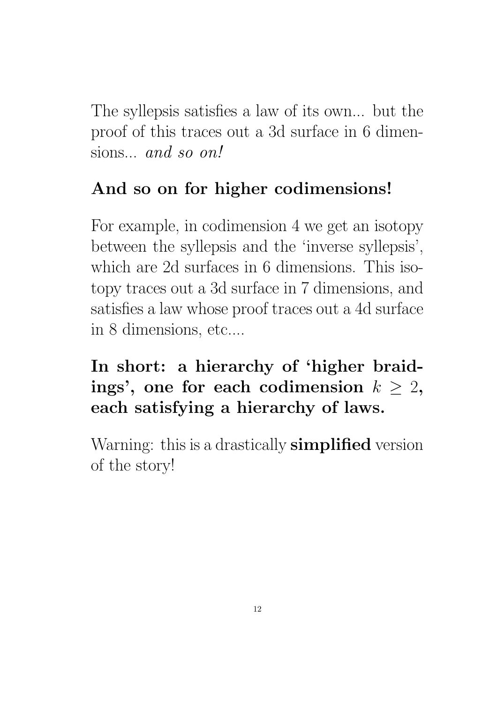The syllepsis satisfies a law of its own... but the proof of this traces out a 3d surface in 6 dimensions... and so on!

# And so on for higher codimensions!

For example, in codimension 4 we get an isotopy between the syllepsis and the 'inverse syllepsis', which are 2d surfaces in 6 dimensions. This isotopy traces out a 3d surface in 7 dimensions, and satisfies a law whose proof traces out a 4d surface in 8 dimensions, etc....

### In short: a hierarchy of 'higher braidings', one for each codimension  $k \geq 2$ , each satisfying a hierarchy of laws.

Warning: this is a drastically **simplified** version of the story!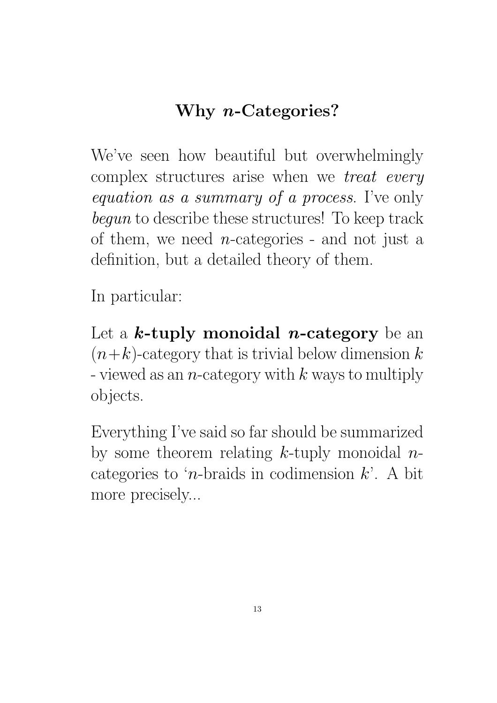# Why n-Categories?

We've seen how beautiful but overwhelmingly complex structures arise when we treat every equation as a summary of a process. I've only begun to describe these structures! To keep track of them, we need  $n$ -categories - and not just a definition, but a detailed theory of them.

In particular:

Let a  $k$ -tuply monoidal *n*-category be an  $(n+k)$ -category that is trivial below dimension k - viewed as an *n*-category with  $k$  ways to multiply objects.

Everything I've said so far should be summarized by some theorem relating  $k$ -tuply monoidal  $n$ categories to '*n*-braids in codimension  $k$ '. A bit more precisely...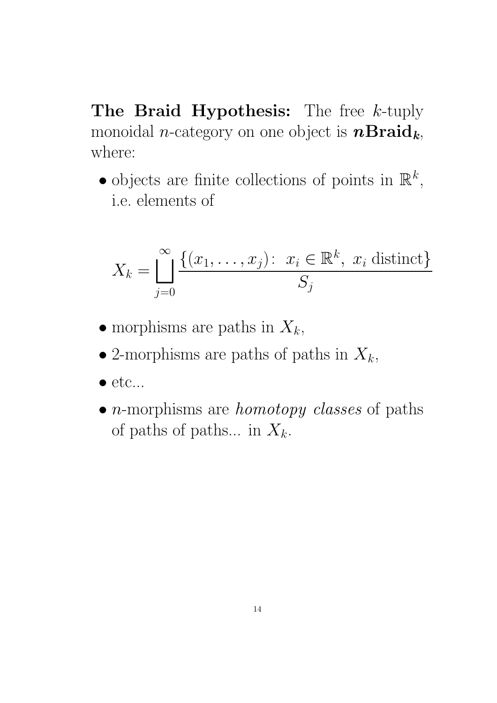The Braid Hypothesis: The free  $k$ -tuply monoidal *n*-category on one object is  $n\text{Braid}_k$ , where:

• objects are finite collections of points in  $\mathbb{R}^k$ , i.e. elements of

$$
X_k = \bigsqcup_{j=0}^{\infty} \frac{\{(x_1, \dots, x_j) \colon x_i \in \mathbb{R}^k, x_i \text{ distinct}\}}{S_j}
$$

- morphisms are paths in  $X_k$ ,
- 2-morphisms are paths of paths in  $X_k$ ,
- $\bullet$  etc...
- $\bullet$  *n*-morphisms are *homotopy classes* of paths of paths of paths... in  $X_k$ .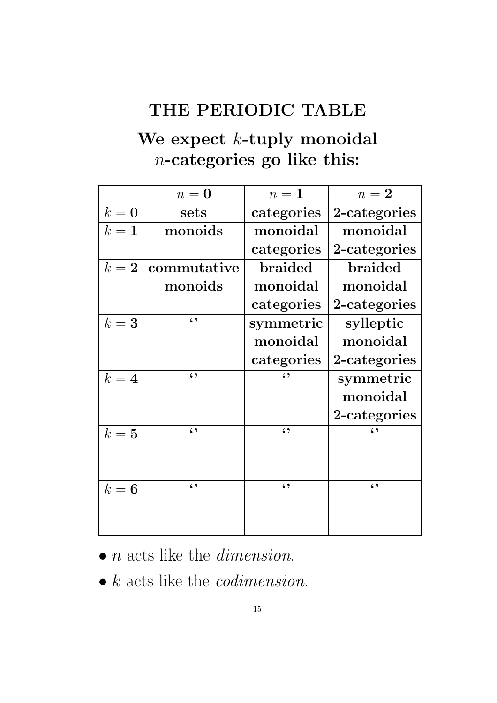### THE PERIODIC TABLE

### We expect *k*-tuply monoidal n-categories go like this:

|       | $n=0$       | $n=1$        | $n=2$          |
|-------|-------------|--------------|----------------|
| $k=0$ | sets        | categories   | 2-categories   |
| $k=1$ | monoids     | monoidal     | monoidal       |
|       |             | categories   | 2-categories   |
| $k=2$ | commutative | braided      | <b>braided</b> |
|       | monoids     | monoidal     | monoidal       |
|       |             | categories   | 2-categories   |
| $k=3$ | $\zeta$ )   | symmetric    | sylleptic      |
|       |             | monoidal     | monoidal       |
|       |             | categories   | 2-categories   |
| $k=4$ | $\zeta$     | $\epsilon$ , | symmetric      |
|       |             |              | monoidal       |
|       |             |              | 2-categories   |
| $k=5$ | $\zeta$ )   | $\zeta$      | د ،            |
|       |             |              |                |
|       |             |              |                |
| $k=6$ | $\zeta$     | $\zeta$      | $\zeta$        |
|       |             |              |                |
|       |             |              |                |

 $\bullet$  *n* acts like the *dimension*.

 $\bullet$  k acts like the *codimension*.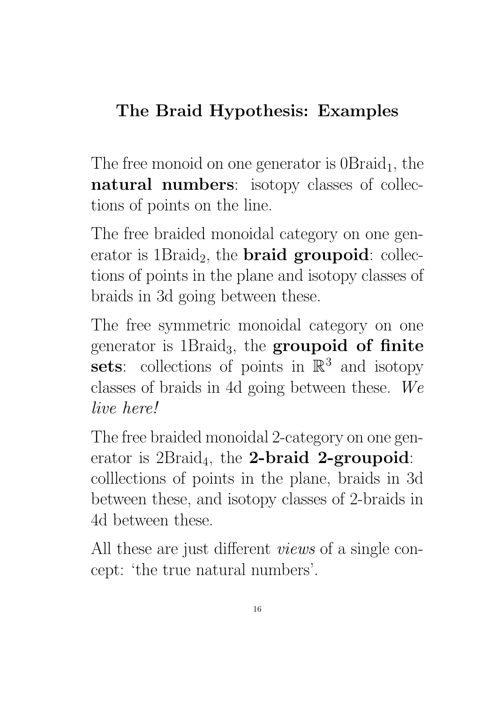# The Braid Hypothesis: Examples

The free monoid on one generator is  $0Braid_1$ , the natural numbers: isotopy classes of collections of points on the line.

The free braided monoidal category on one generator is  $1\cdot$  Braid<sub>2</sub>, the **braid groupoid**: collections of points in the plane and isotopy classes of braids in 3d going between these.

The free symmetric monoidal category on one generator is  $1Braid_3$ , the groupoid of finite sets: collections of points in  $\mathbb{R}^3$  and isotopy classes of braids in 4d going between these. We live here!

The free braided monoidal 2-category on one generator is  $2Braid_4$ , the **2-braid 2-groupoid**: colllections of points in the plane, braids in 3d between these, and isotopy classes of 2-braids in 4d between these.

All these are just different views of a single concept: 'the true natural numbers'.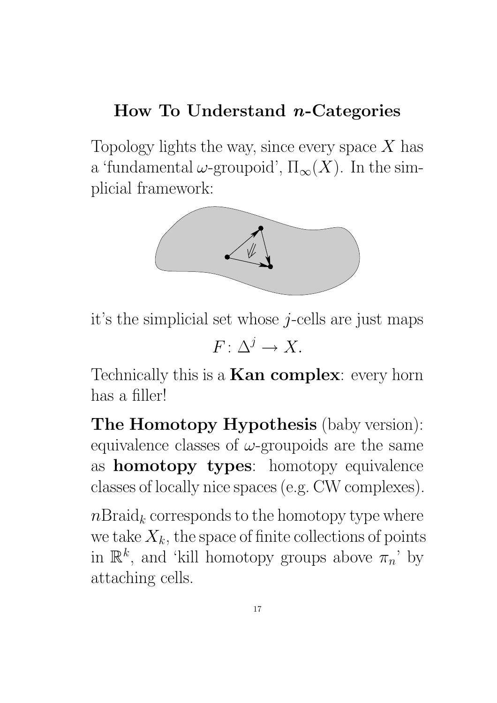### How To Understand  $n$ -Categories

Topology lights the way, since every space  $X$  has a 'fundamental  $\omega$ -groupoid',  $\Pi_{\infty}(X)$ . In the simplicial framework:



it's the simplicial set whose  $j$ -cells are just maps

 $F: \Delta^j \longrightarrow X.$ 

Technically this is a **Kan complex**: every horn has a filler!

The Homotopy Hypothesis (baby version): equivalence classes of  $\omega$ -groupoids are the same as homotopy types: homotopy equivalence classes of locally nice spaces (e.g. CW complexes).

 $n\text{Braid}_k$  corresponds to the homotopy type where we take  $X_k$ , the space of finite collections of points in  $\mathbb{R}^k$ , and 'kill homotopy groups above  $\pi_n$ ' by attaching cells.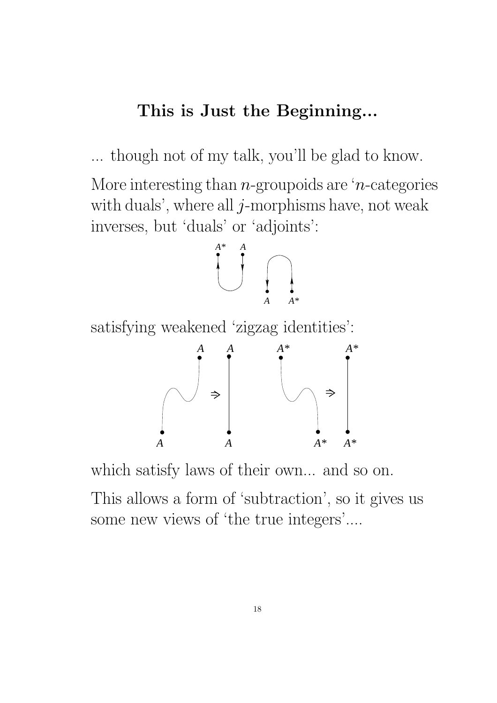#### This is Just the Beginning...

... though not of my talk, you'll be glad to know.

More interesting than  $n$ -groupoids are 'n-categories with duals', where all  $j$ -morphisms have, not weak inverses, but 'duals' or 'adjoints':



satisfying weakened 'zigzag identities':



which satisfy laws of their own... and so on.

This allows a form of 'subtraction', so it gives us some new views of 'the true integers'....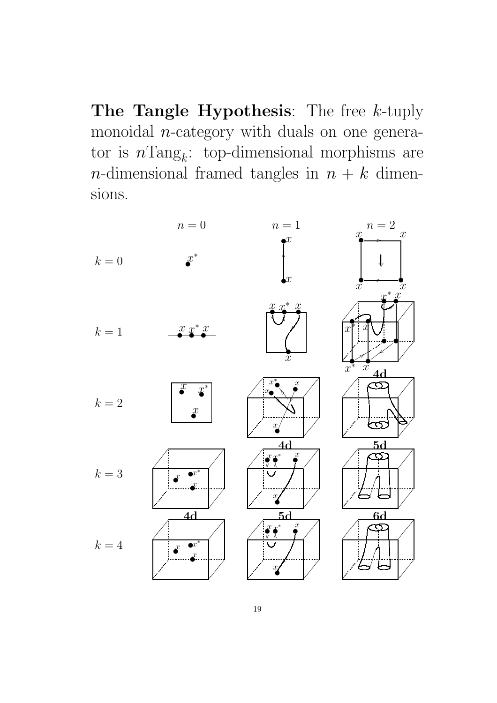The Tangle Hypothesis: The free  $k$ -tuply monoidal *n*-category with duals on one generator is  $n\text{Tang}_k$ : top-dimensional morphisms are *n*-dimensional framed tangles in  $n + k$  dimensions.